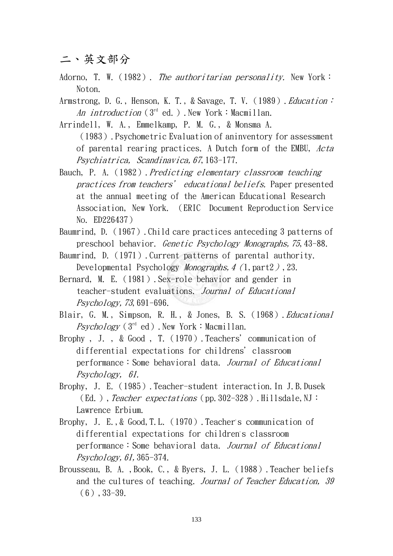二、英文部分

Adorno, T. W. (1982). The authoritarian personality. New York: Noton.

Armstrong, D. G., Henson, K. T., & Savage, T. V. (1989). Education: An introduction  $3^{rd}$  ed.). New York: Macmillan.

Arrindell, W. A., Emmelkamp, P. M. G., & Monsma A.

(1983).Psychometric Evaluation of aninventory for assessment of parental rearing practices. A Dutch form of the EMBU, Acta Psychiatrica, Scandinavica,67,163-177.

Bauch, P. A. (1982). Predicting elementary classroom teaching practices from teachers' educational beliefs. Paper presented at the annual meeting of the American Educational Research Association, New York. (ERIC Document Reproduction Service No. ED226437)

Baumrind, D.(1967).Child care practices anteceding 3 patterns of preschool behavior. Genetic Psychology Monographs,75,43-88.

- Baumrind, D. (1971). Current patterns of parental authority. Developmental Psychology *Monographs, 4 (1, part2), 23.*
- Bernard, M. E.(1981).Sex-role behavior and gender in teacher-student evaluations. Journal of Educational Psychology, 73, 691-696.
- Blair, G. M., Simpson, R. H., & Jones, B. S. (1968). Educational Psychology ( $3<sup>rd</sup>$  ed). New York: Macmillan.
- Brophy, J., & Good, T. (1970). Teachers' communication of differential expectations for childrens'classroom performance:Some behavioral data. Journal of Educational Psychology, 61.
- Brophy, J. E.(1985).Teacher-student interaction.In J.B.Dusek (Ed.), Teacher expectations (pp. 302-328). Hillsdale, NJ: Lawrence Erbium.
- Brophy, J. E., & Good, T.L. (1970). Teacher's communication of differential expectations for children's classroom performance:Some behavioral data. Journal of Educational  $Psychology, 61, 365-374.$
- Brousseau, B. A., Book, C., & Byers, J. L. (1988). Teacher beliefs and the cultures of teaching. Journal of Teacher Education, 39  $(6)$ , 33-39.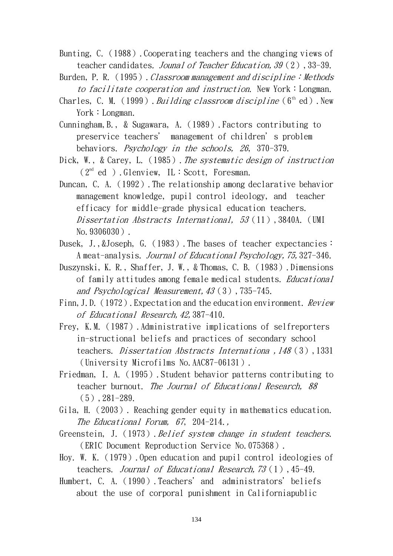- Bunting, C. (1988). Cooperating teachers and the changing views of teacher candidates. Jounal of Teacher Education, 39 (2), 33-39.
- Burden, P. R. (1995). Classroom management and discipline: Methods to facilitate cooperation and instruction. New York: Longman.
- Charles, C. M. (1999). Building classroom discipline ( $6<sup>th</sup>$  ed). New York: Longman.
- Cunningham,B., & Sugawara, A.(1989).Factors contributing to preservice teachers' management of children's problem behaviors. Psychology in the schools, 26, 370-379.
- Dick, W., & Carey, L. (1985). The systematic design of instruction  $(2<sup>nd</sup>$  ed ). Glenview, IL: Scott, Foresman.
- Duncan, C. A. (1992). The relationship among declarative behavior management knowledge, pupil control ideology, and teacher efficacy for middle-grade physical education teachers. Dissertation Abstracts International, 53(11),3840A. (UMI No.9306030).
- Dusek, J., &Joseph, G. (1983). The bases of teacher expectancies: A meat-analysis. Journal of Educational Psychology,75,327-346.
- Duszynski, K. R., Shaffer, J. W., & Thomas, C. B.(1983).Dimensions of family attitudes among female medical students. Educational and Psychological Measurement,43(3),735-745.
- Finn, J.D. (1972). Expectation and the education environment. Review of Educational Research,42,387-410.
- Frey, K.M.(1987).Administrative implications of selfreporters in-structional beliefs and practices of secondary school teachers. *Dissertation Abstracts Internationa* , 148(3), 1331 (University Microfilms No.AAC87-06131).
- Friedman, I. A.(1995).Student behavior patterns contributing to teacher burnout. The Journal of Educational Research, 88 (5),281-289.
- Gila, H.(2003). Reaching gender equity in mathematics education. The Educational Forum, 67, 204-214.,
- Greenstein, J. (1973). Belief system change in student teachers. (ERIC Document Reproduction Service No.075368).
- Hoy. W. K.(1979).Open education and pupil control ideologies of teachers. Journal of Educational Research,73(1),45-49.
- Humbert, C. A. (1990). Teachers' and administrators' beliefs about the use of corporal punishment in Californiapublic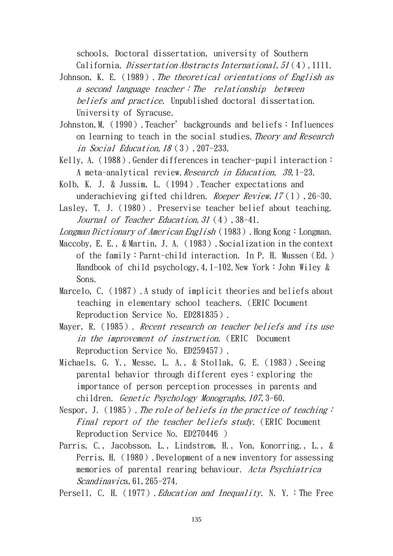schools. Doctoral dissertation, university of Southern California. *Dissertation Abstracts International, 51*(4), 1111.

Johnson, K. E. (1989). The theoretical orientations of English as a second language teacher: The relationship between beliefs and practice. Unpublished doctoral dissertation. University of Syracuse.

- Johnston, M. (1990). Teacher' backgrounds and beliefs: Influences on learning to teach in the social studies. Theory and Research in Social Education,18(3),207-233.
- Kelly, A. (1988). Gender differences in teacher-pupil interaction: A meta-analytical review. Research in Education, 39, 1-23.
- Kolb, K. J. & Jussim, L.(1994).Teacher expectations and underachieving gifted children. *Roeper Review, 17*(1), 26-30.
- Lasley. T. J. (1980). Preservise teacher belief about teaching. Journal of Teacher Education, 31 (4), 38-41.

Longman Dictionary of American English (1983). Hong Kong: Longman.

- Maccoby, E. E., & Martin, J. A. (1983). Socialization in the context of the family:Parnt-child interaction. In P. H. Mussen(Ed.) Handbook of child psychology, 4,  $1-102$ . New York: John Wiley & Sons.
- Marcelo, C. (1987). A study of implicit theories and beliefs about teaching in elementary school teachers.(ERIC Document Reproduction Service No. ED281835).

Mayer, R. (1985). Recent research on teacher beliefs and its use in the improvement of instruction. (ERIC Document Reproduction Service No. ED259457).

Michaels, G. Y., Messe, L. A., & Stollak, G. E.(1983).Seeing parental behavior through different eyes:  $exp{l}$  exploring the importance of person perception processes in parents and children. Genetic Psychology Monographs,107,3-60.

- Nespor, J. (1985). The role of beliefs in the practice of teaching: Final report of the teacher beliefs study. (ERIC Document Reproduction Service No. ED270446 )
- Parris, C., Jacobsson, L., Lindstrom, H., Von, Konorring., L., & Perris, H. (1980). Development of a new inventory for assessing memories of parental rearing behaviour. Acta Psychiatrica  $Scandinavica, 61, 265-274.$

Persell, C. H. (1977). Education and Inequality. N. Y. : The Free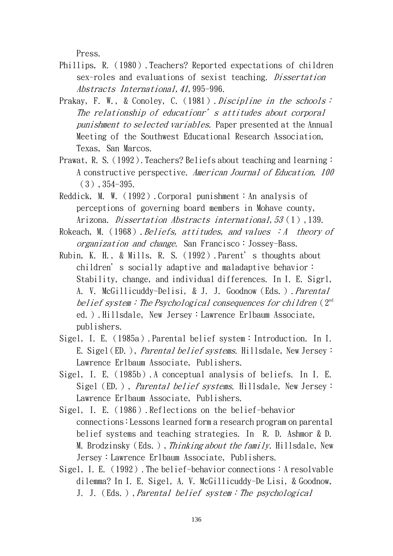Press.

- Phillips, R. (1980). Teachers? Reported expectations of children sex-roles and evaluations of sexist teaching. Dissertation Abstracts International,41,995-996.
- Prakay, F. W., & Conoley, C. (1981). Discipline in the schools: The relationship of educationr's attitudes about corporal punishment to selected variables. Paper presented at the Annual Meeting of the Southwest Educational Research Association, Texas, San Marcos.
- Prawat, R. S. (1992). Teachers? Beliefs about teaching and learning: A constructive perspective. American Journal of Education, 100 (3),354-395.
- Reddick, M. W. (1992). Corporal punishment: An analysis of perceptions of governing board members in Mohave county, Arizona. *Dissertation Abstracts international, 53* (1), 139.
- Rokeach, M. (1968). Beliefs, attitudes, and values  $:A$  theory of organization and change. San Francisco:Jossey-Bass.
- Rubin, K. H., & Mills, R. S.(1992).Parent's thoughts about children's socially adaptive and maladaptive behavior: Stability, change, and individual differences. In I. E. Sigrl, A. V. McGillicuddy-Delisi, & J. J. Goodnow (Eds.). Parental belief system: The Psychological consequences for children  $(2<sup>nd</sup>$ ed.).Hillsdale, New Jersey:Lawrence Erlbaum Associate, publishers.
- Sigel, I. E.(1985a).Parental belief system:Introduction. In I. E. Sigel(ED.), *Parental belief systems*. Hillsdale, New Jersey: Lawrence Erlbaum Associate, Publishers.
- Sigel, I. E.(1985b).A conceptual analysis of beliefs. In I. E. Sigel (ED.), *Parental belief systems*. Hillsdale, New Jersey: Lawrence Erlbaum Associate, Publishers.
- Sigel, I. E.(1986).Reflections on the belief-behavior connections:Lessons learned form a research program on parental belief systems and teaching strategies. In R. D. Ashmor & D. M. Brodzinsky (Eds.), Thinking about the family. Hillsdale, New Jersey:Lawrence Erlbaum Associate, Publishers.
- Sigel, I. E. (1992). The belief-behavior connections: A resolvable dilemma? In I. E. Sigel, A. V. McGillicuddy-De Lisi, & Goodnow, J. J. (Eds.), Parental belief system: The psychological